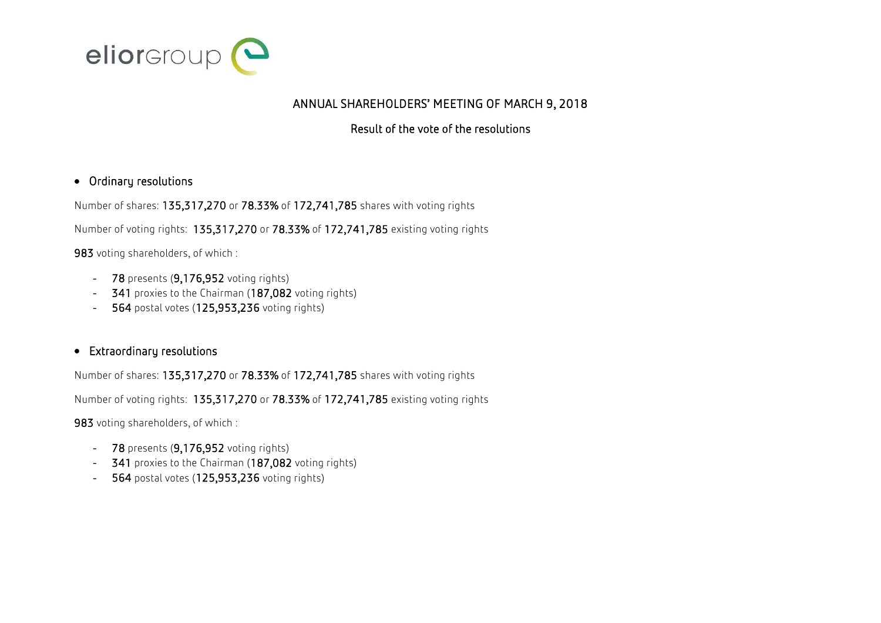

## ANNUAL SHAREHOLDERS' MEETING OF MARCH 9, 2018

## Result of the vote of the resolutions

## Ordinary resolutions

Number of shares: 135,317,270 or 78.33% of 172,741,785 shares with voting rights

Number of voting rights: 135,317,270 or 78.33% of 172,741,785 existing voting rights

983 voting shareholders, of which :

- 78 presents (9,176,952 voting rights)
- $341$  proxies to the Chairman (187,082 voting rights)
- 564 postal votes (125,953,236 voting rights)

## Extraordinary resolutions

Number of shares: 135,317,270 or 78.33% of 172,741,785 shares with voting rights

Number of voting rights: 135,317,270 or 78.33% of 172,741,785 existing voting rights

983 voting shareholders, of which :

- 78 presents (9,176,952 voting rights)
- 341 proxies to the Chairman (187,082 voting rights)
- 564 postal votes (125,953,236 voting rights)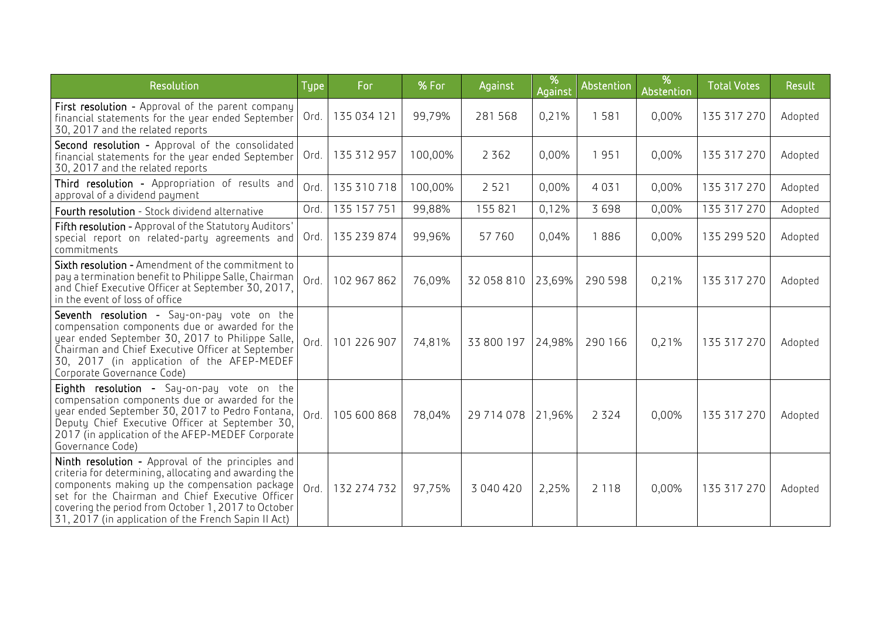| Resolution                                                                                                                                                                                                                                                                                                                     | Type | For         | % For   | Against      | %<br>Against | Abstention | %<br>Abstention | <b>Total Votes</b> | Result  |
|--------------------------------------------------------------------------------------------------------------------------------------------------------------------------------------------------------------------------------------------------------------------------------------------------------------------------------|------|-------------|---------|--------------|--------------|------------|-----------------|--------------------|---------|
| First resolution - Approval of the parent company<br>financial statements for the year ended September<br>30, 2017 and the related reports                                                                                                                                                                                     | Ord. | 135 034 121 | 99,79%  | 281568       | 0,21%        | 1581       | 0,00%           | 135 317 270        | Adopted |
| Second resolution - Approval of the consolidated<br>financial statements for the year ended September<br>30, 2017 and the related reports                                                                                                                                                                                      | Ord. | 135 312 957 | 100,00% | 2 3 6 2      | 0,00%        | 1951       | 0,00%           | 135 317 270        | Adopted |
| Third resolution - Appropriation of results and<br>approval of a dividend payment                                                                                                                                                                                                                                              | Ord. | 135 310 718 | 100,00% | 2 5 2 1      | 0,00%        | 4031       | 0,00%           | 135 317 270        | Adopted |
| Fourth resolution - Stock dividend alternative                                                                                                                                                                                                                                                                                 | Ord. | 135 157 751 | 99,88%  | 155 821      | 0,12%        | 3698       | 0,00%           | 135 317 270        | Adopted |
| Fifth resolution - Approval of the Statutory Auditors'<br>special report on related-party agreements and<br>commitments                                                                                                                                                                                                        | Ord. | 135 239 874 | 99,96%  | 57760        | 0,04%        | 1886       | 0,00%           | 135 299 520        | Adopted |
| Sixth resolution - Amendment of the commitment to<br>pay a termination benefit to Philippe Salle, Chairman<br>and Chief Executive Officer at September 30, 2017,<br>in the event of loss of office                                                                                                                             | Ord. | 102 967 862 | 76,09%  | 32 058 810   | 23,69%       | 290 598    | 0,21%           | 135 317 270        | Adopted |
| Seventh resolution - Say-on-pay vote on the<br>compensation components due or awarded for the<br>year ended September 30, 2017 to Philippe Salle,<br>Chairman and Chief Executive Officer at September<br>30, 2017 (in application of the AFEP-MEDEF<br>Corporate Governance Code)                                             | Ord. | 101 226 907 | 74,81%  | 33 800 197   | 24,98%       | 290 166    | 0,21%           | 135 317 270        | Adopted |
| Eighth resolution - Say-on-pay vote on the<br>compensation components due or awarded for the<br>year ended September 30, 2017 to Pedro Fontana,<br>Deputy Chief Executive Officer at September 30,<br>2017 (in application of the AFEP-MEDEF Corporate<br>Governance Code)                                                     | Ord. | 105 600 868 | 78,04%  | 29 7 14 0 78 | 21,96%       | 2 3 2 4    | 0,00%           | 135 317 270        | Adopted |
| Ninth resolution - Approval of the principles and<br>criteria for determining, allocating and awarding the<br>components making up the compensation package<br>set for the Chairman and Chief Executive Officer<br>covering the period from October 1, 2017 to October<br>31, 2017 (in application of the French Sapin II Act) | Ord. | 132 274 732 | 97,75%  | 3 040 420    | 2,25%        | 2 1 1 8    | 0,00%           | 135 317 270        | Adopted |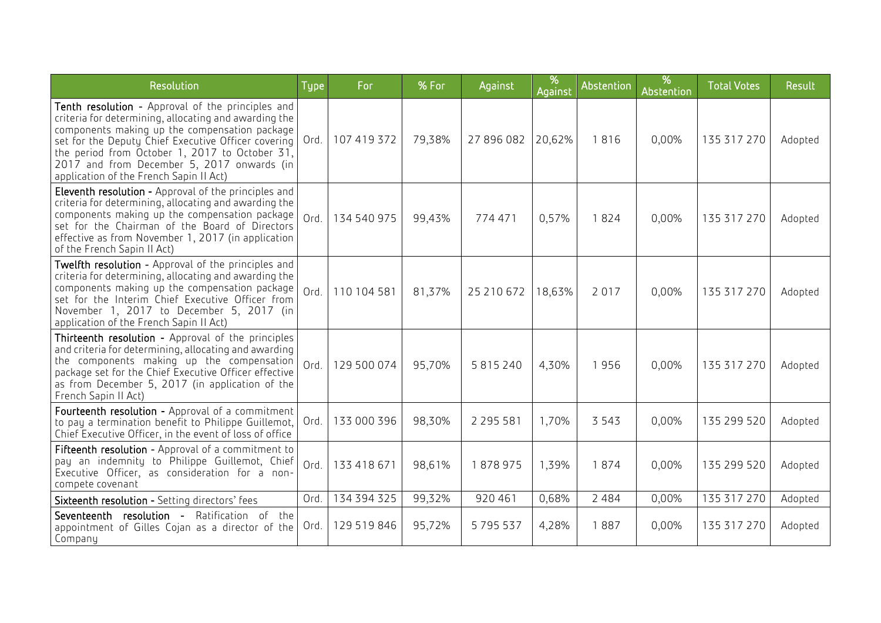| Resolution                                                                                                                                                                                                                                                                                                                                                    | Type | For         | % For  | Against       | %<br>Against | Abstention | %<br>Abstention | <b>Total Votes</b> | Result  |
|---------------------------------------------------------------------------------------------------------------------------------------------------------------------------------------------------------------------------------------------------------------------------------------------------------------------------------------------------------------|------|-------------|--------|---------------|--------------|------------|-----------------|--------------------|---------|
| Tenth resolution - Approval of the principles and<br>criteria for determining, allocating and awarding the<br>components making up the compensation package<br>set for the Deputy Chief Executive Officer covering<br>the period from October 1, 2017 to October 31,<br>2017 and from December 5, 2017 onwards (in<br>application of the French Sapin II Act) | Ord. | 107 419 372 | 79,38% | 27 896 082    | 20,62%       | 1816       | 0,00%           | 135 317 270        | Adopted |
| <b>Eleventh resolution -</b> Approval of the principles and<br>criteria for determining, allocating and awarding the<br>components making up the compensation package<br>set for the Chairman of the Board of Directors<br>effective as from November 1, 2017 (in application<br>of the French Sapin II Act)                                                  | Ord. | 134 540 975 | 99,43% | 774471        | 0,57%        | 1824       | 0,00%           | 135 317 270        | Adopted |
| Twelfth resolution - Approval of the principles and<br>criteria for determining, allocating and awarding the<br>components making up the compensation package<br>set for the Interim Chief Executive Officer from<br>November 1, 2017 to December 5, 2017 (in<br>application of the French Sapin II Act)                                                      | Ord. | 110 104 581 | 81,37% | 25 210 672    | 18,63%       | 2017       | 0,00%           | 135 317 270        | Adopted |
| Thirteenth resolution - Approval of the principles<br>and criteria for determining, allocating and awarding<br>the components making up the compensation<br>package set for the Chief Executive Officer effective<br>as from December 5, 2017 (in application of the<br>French Sapin II Act)                                                                  | Ord. | 129 500 074 | 95,70% | 5 8 1 5 2 4 0 | 4,30%        | 1956       | 0,00%           | 135 317 270        | Adopted |
| Fourteenth resolution - Approval of a commitment<br>to pay a termination benefit to Philippe Guillemot,<br>Chief Executive Officer, in the event of loss of office                                                                                                                                                                                            | Ord. | 133 000 396 | 98,30% | 2 2 9 5 5 8 1 | 1,70%        | 3 5 4 3    | 0,00%           | 135 299 520        | Adopted |
| Fifteenth resolution - Approval of a commitment to<br>pay an indemnity to Philippe Guillemot, Chief<br>Executive Officer, as consideration for a non-<br>compete covenant                                                                                                                                                                                     | Ord. | 133 418 671 | 98,61% | 1878975       | 1,39%        | 1874       | 0,00%           | 135 299 520        | Adopted |
| Sixteenth resolution - Setting directors' fees                                                                                                                                                                                                                                                                                                                | Ord. | 134 394 325 | 99,32% | 920 461       | 0,68%        | 2 4 8 4    | 0,00%           | 135 317 270        | Adopted |
| Seventeenth resolution - Ratification of the<br>appointment of Gilles Cojan as a director of the<br>Company                                                                                                                                                                                                                                                   | Ord. | 129 519 846 | 95,72% | 5795537       | 4,28%        | 1887       | 0,00%           | 135 317 270        | Adopted |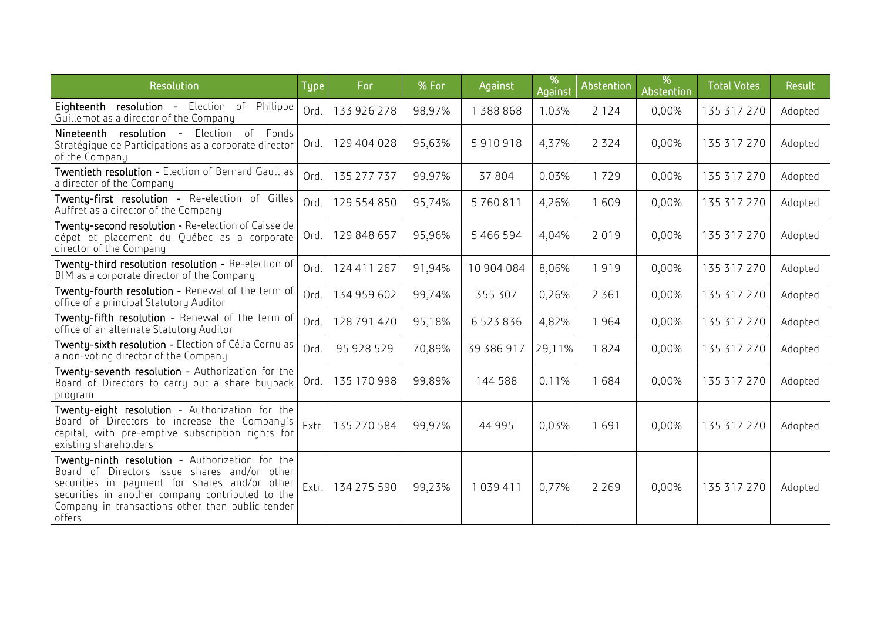| Resolution                                                                                                                                                                                                                                                         | <b>Type</b> | For         | % For  | Against    | %<br>Against | Abstention | %<br>Abstention | <b>Total Votes</b> | Result  |
|--------------------------------------------------------------------------------------------------------------------------------------------------------------------------------------------------------------------------------------------------------------------|-------------|-------------|--------|------------|--------------|------------|-----------------|--------------------|---------|
| Eighteenth resolution - Election of<br>Philippe<br>Guillemot as a director of the Company                                                                                                                                                                          | Ord.        | 133 926 278 | 98,97% | 1388868    | 1,03%        | 2 1 2 4    | 0,00%           | 135 317 270        | Adopted |
| Nineteenth resolution - Election of Fonds<br>Stratégique de Participations as a corporate director<br>of the Company                                                                                                                                               | Ord.        | 129 404 028 | 95,63% | 5910918    | 4,37%        | 2 3 2 4    | 0,00%           | 135 317 270        | Adopted |
| Twentieth resolution - Election of Bernard Gault as<br>a director of the Company                                                                                                                                                                                   | Ord.        | 135 277 737 | 99,97% | 37804      | 0,03%        | 1729       | 0,00%           | 135 317 270        | Adopted |
| Twenty-first resolution - Re-election of Gilles<br>Auffret as a director of the Company                                                                                                                                                                            | Ord.        | 129 554 850 | 95,74% | 5760811    | 4,26%        | 1609       | 0,00%           | 135 317 270        | Adopted |
| Twenty-second resolution - Re-election of Caisse de<br>dépot et placement du Québec as a corporate<br>director of the Company                                                                                                                                      | Ord.        | 129 848 657 | 95,96% | 5466594    | 4,04%        | 2019       | 0,00%           | 135 317 270        | Adopted |
| Twenty-third resolution resolution - Re-election of<br>BIM as a corporate director of the Company                                                                                                                                                                  | Ord.        | 124 411 267 | 91,94% | 10 904 084 | 8,06%        | 1919       | 0,00%           | 135 317 270        | Adopted |
| Twenty-fourth resolution - Renewal of the term of<br>office of a principal Statutory Auditor                                                                                                                                                                       | Ord.        | 134 959 602 | 99,74% | 355 307    | 0,26%        | 2 3 6 1    | 0,00%           | 135 317 270        | Adopted |
| Twenty-fifth resolution - Renewal of the term of<br>office of an alternate Statutory Auditor                                                                                                                                                                       | Ord.        | 128 791 470 | 95,18% | 6523836    | 4,82%        | 1964       | 0,00%           | 135 317 270        | Adopted |
| Twenty-sixth resolution - Election of Célia Cornu as<br>a non-voting director of the Company                                                                                                                                                                       | Ord.        | 95 928 529  | 70,89% | 39 386 917 | 29,11%       | 1824       | 0,00%           | 135 317 270        | Adopted |
| Twenty-seventh resolution - Authorization for the<br>Board of Directors to carry out a share buyback<br>program                                                                                                                                                    | Ord.        | 135 170 998 | 99,89% | 144 588    | 0,11%        | 1684       | 0,00%           | 135 317 270        | Adopted |
| Twenty-eight resolution - Authorization for the<br>Board of Directors to increase the Company's<br>capital, with pre-emptive subscription rights for<br>existing shareholders                                                                                      | Extr.       | 135 270 584 | 99,97% | 44 995     | 0.03%        | 1691       | 0,00%           | 135 317 270        | Adopted |
| Twenty-ninth resolution - Authorization for the<br>Board of Directors issue shares and/or other<br>securities in payment for shares and/or other<br>securities in another company contributed to the<br>Company in transactions other than public tender<br>offers | Extr.       | 134 275 590 | 99,23% | 1039411    | 0,77%        | 2 2 6 9    | 0,00%           | 135 317 270        | Adopted |